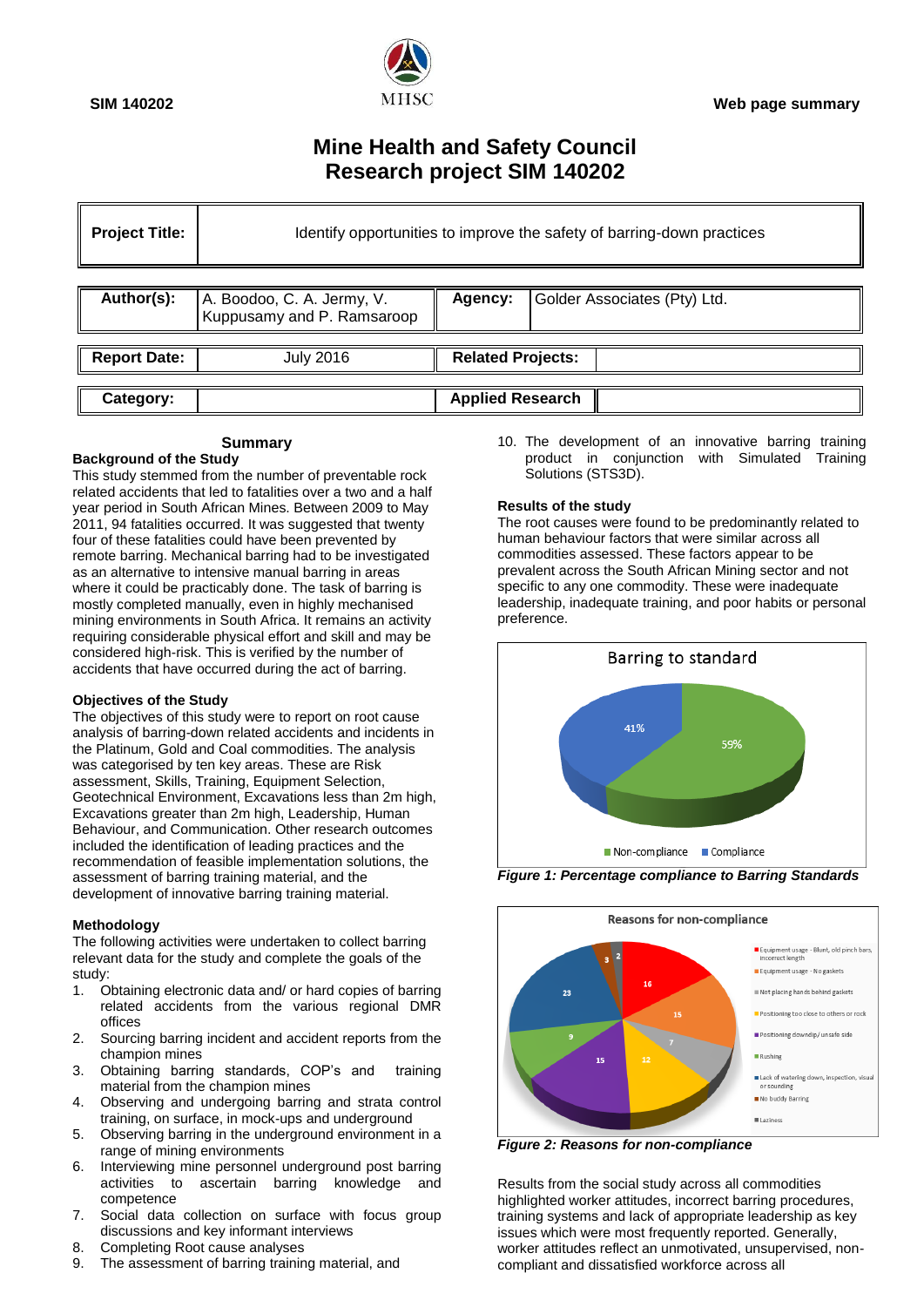

# **Mine Health and Safety Council Research project SIM 140202**

| <b>Project Title:</b> | Identify opportunities to improve the safety of barring-down practices |                          |                              |
|-----------------------|------------------------------------------------------------------------|--------------------------|------------------------------|
| Author(s):            | A. Boodoo, C. A. Jermy, V.<br>Kuppusamy and P. Ramsaroop               | Agency:                  | Golder Associates (Pty) Ltd. |
| <b>Report Date:</b>   | <b>July 2016</b>                                                       | <b>Related Projects:</b> |                              |
| Category:             |                                                                        | <b>Applied Research</b>  |                              |

## **Summary**

### **Background of the Study**

This study stemmed from the number of preventable rock related accidents that led to fatalities over a two and a half year period in South African Mines. Between 2009 to May 2011, 94 fatalities occurred. It was suggested that twenty four of these fatalities could have been prevented by remote barring. Mechanical barring had to be investigated as an alternative to intensive manual barring in areas where it could be practicably done. The task of barring is mostly completed manually, even in highly mechanised mining environments in South Africa. It remains an activity requiring considerable physical effort and skill and may be considered high-risk. This is verified by the number of accidents that have occurred during the act of barring.

### **Objectives of the Study**

The objectives of this study were to report on root cause analysis of barring-down related accidents and incidents in the Platinum, Gold and Coal commodities. The analysis was categorised by ten key areas. These are Risk assessment, Skills, Training, Equipment Selection, Geotechnical Environment, Excavations less than 2m high, Excavations greater than 2m high, Leadership, Human Behaviour, and Communication. Other research outcomes included the identification of leading practices and the recommendation of feasible implementation solutions, the assessment of barring training material, and the development of innovative barring training material.

### **Methodology**

The following activities were undertaken to collect barring relevant data for the study and complete the goals of the study:

- 1. Obtaining electronic data and/ or hard copies of barring related accidents from the various regional DMR offices
- 2. Sourcing barring incident and accident reports from the champion mines
- 3. Obtaining barring standards, COP"s and training material from the champion mines
- 4. Observing and undergoing barring and strata control training, on surface, in mock-ups and underground
- 5. Observing barring in the underground environment in a range of mining environments
- 6. Interviewing mine personnel underground post barring activities to ascertain barring knowledge and competence
- 7. Social data collection on surface with focus group discussions and key informant interviews
- 8. Completing Root cause analyses
- 9. The assessment of barring training material, and

10. The development of an innovative barring training product in conjunction with Simulated Training Solutions (STS3D).

### **Results of the study**

The root causes were found to be predominantly related to human behaviour factors that were similar across all commodities assessed. These factors appear to be prevalent across the South African Mining sector and not specific to any one commodity. These were inadequate leadership, inadequate training, and poor habits or personal preference.



*Figure 1: Percentage compliance to Barring Standards*



*Figure 2: Reasons for non-compliance*

Results from the social study across all commodities highlighted worker attitudes, incorrect barring procedures, training systems and lack of appropriate leadership as key issues which were most frequently reported. Generally, worker attitudes reflect an unmotivated, unsupervised, noncompliant and dissatisfied workforce across all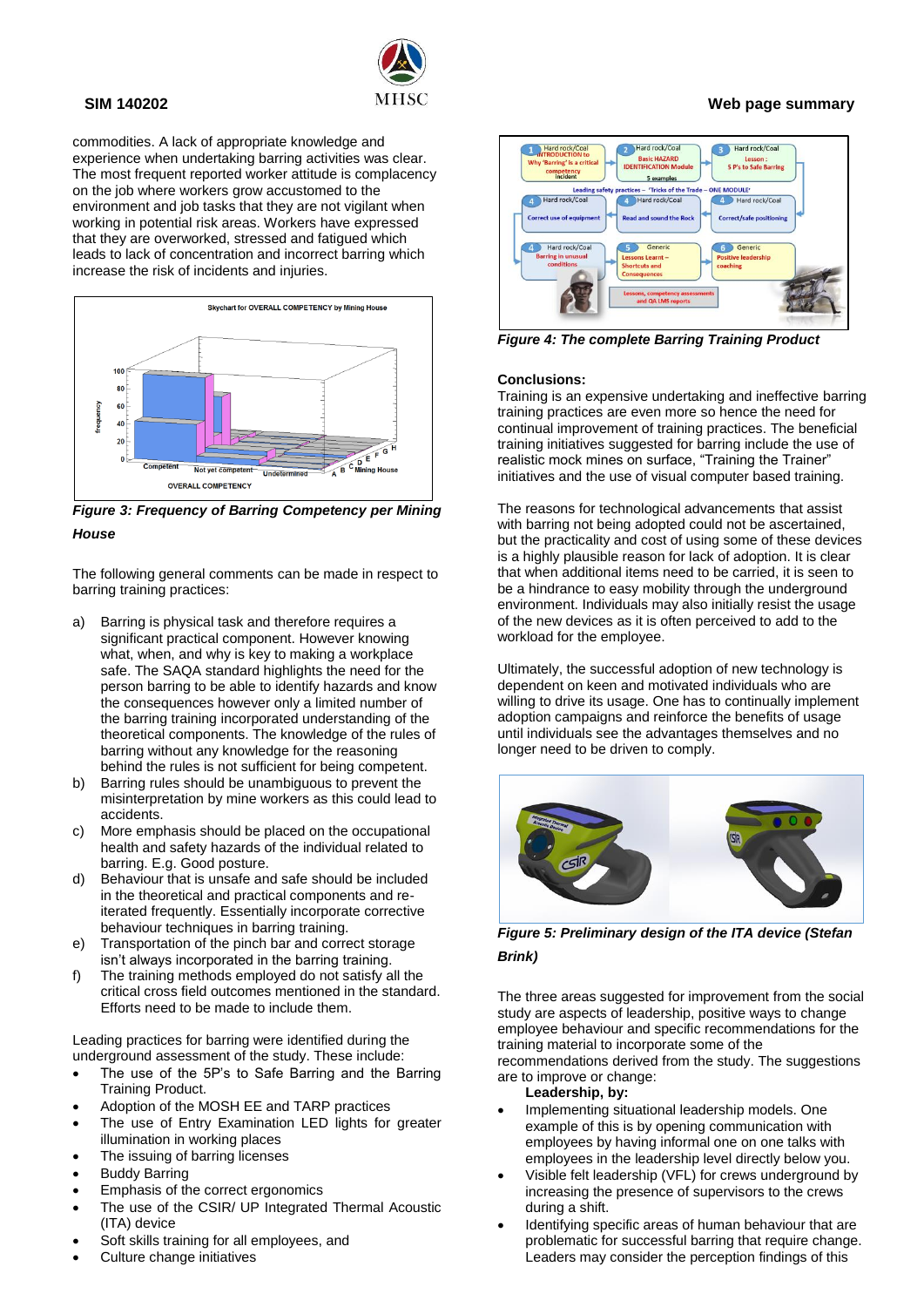

commodities. A lack of appropriate knowledge and experience when undertaking barring activities was clear. The most frequent reported worker attitude is complacency on the job where workers grow accustomed to the environment and job tasks that they are not vigilant when working in potential risk areas. Workers have expressed that they are overworked, stressed and fatigued which leads to lack of concentration and incorrect barring which increase the risk of incidents and injuries.



*Figure 3: Frequency of Barring Competency per Mining House*

The following general comments can be made in respect to barring training practices:

- a) Barring is physical task and therefore requires a significant practical component. However knowing what, when, and why is key to making a workplace safe. The SAQA standard highlights the need for the person barring to be able to identify hazards and know the consequences however only a limited number of the barring training incorporated understanding of the theoretical components. The knowledge of the rules of barring without any knowledge for the reasoning behind the rules is not sufficient for being competent.
- b) Barring rules should be unambiguous to prevent the misinterpretation by mine workers as this could lead to accidents.
- c) More emphasis should be placed on the occupational health and safety hazards of the individual related to barring. E.g. Good posture.
- Behaviour that is unsafe and safe should be included in the theoretical and practical components and reiterated frequently. Essentially incorporate corrective behaviour techniques in barring training.
- e) Transportation of the pinch bar and correct storage isn"t always incorporated in the barring training.
- f) The training methods employed do not satisfy all the critical cross field outcomes mentioned in the standard. Efforts need to be made to include them.

Leading practices for barring were identified during the underground assessment of the study. These include:

- The use of the 5P's to Safe Barring and the Barring Training Product.
- Adoption of the MOSH EE and TARP practices
- The use of Entry Examination LED lights for greater illumination in working places
- The issuing of barring licenses
- Buddy Barring
- Emphasis of the correct ergonomics
- The use of the CSIR/ UP Integrated Thermal Acoustic (ITA) device
- Soft skills training for all employees, and
- Culture change initiatives



*Figure 4: The complete Barring Training Product*

### **Conclusions:**

Training is an expensive undertaking and ineffective barring training practices are even more so hence the need for continual improvement of training practices. The beneficial training initiatives suggested for barring include the use of realistic mock mines on surface, "Training the Trainer" initiatives and the use of visual computer based training.

The reasons for technological advancements that assist with barring not being adopted could not be ascertained, but the practicality and cost of using some of these devices is a highly plausible reason for lack of adoption. It is clear that when additional items need to be carried, it is seen to be a hindrance to easy mobility through the underground environment. Individuals may also initially resist the usage of the new devices as it is often perceived to add to the workload for the employee.

Ultimately, the successful adoption of new technology is dependent on keen and motivated individuals who are willing to drive its usage. One has to continually implement adoption campaigns and reinforce the benefits of usage until individuals see the advantages themselves and no longer need to be driven to comply.



*Figure 5: Preliminary design of the ITA device (Stefan Brink)*

The three areas suggested for improvement from the social study are aspects of leadership, positive ways to change employee behaviour and specific recommendations for the training material to incorporate some of the

recommendations derived from the study. The suggestions are to improve or change:

- **Leadership, by:**
- Implementing situational leadership models. One example of this is by opening communication with employees by having informal one on one talks with employees in the leadership level directly below you.
- Visible felt leadership (VFL) for crews underground by increasing the presence of supervisors to the crews during a shift.
- Identifying specific areas of human behaviour that are problematic for successful barring that require change. Leaders may consider the perception findings of this

# **SIM 140202 Web page summary**